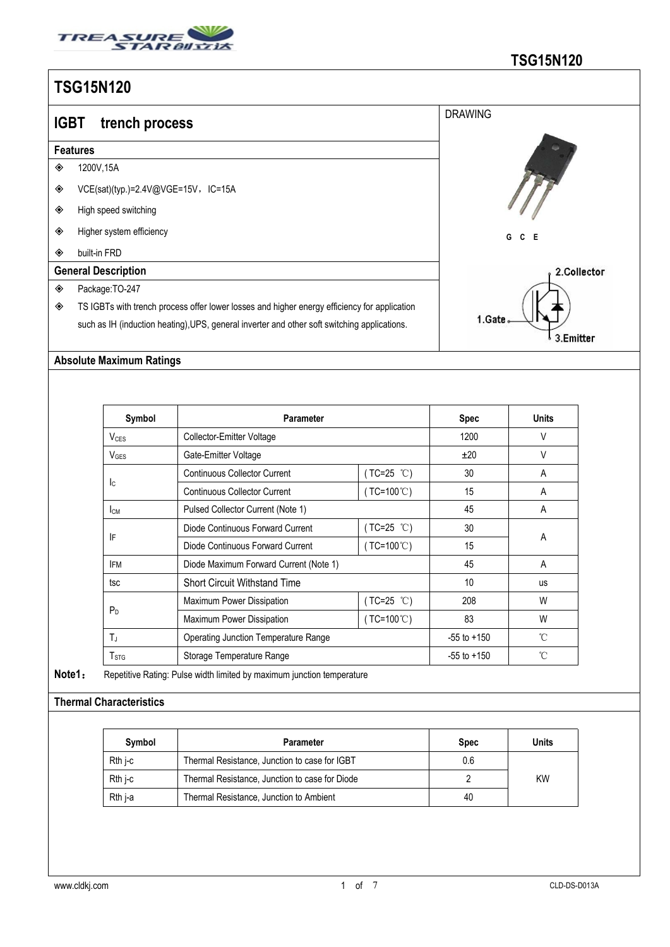

| <b>IGBT</b> | trench process                                                                               | <b>DRAWING</b> |  |  |  |  |  |  |
|-------------|----------------------------------------------------------------------------------------------|----------------|--|--|--|--|--|--|
|             | <b>Features</b>                                                                              |                |  |  |  |  |  |  |
| ◈           | 1200V, 15A                                                                                   |                |  |  |  |  |  |  |
| ◈           | VCE(sat)(typ.)=2.4V@VGE=15V,IC=15A                                                           |                |  |  |  |  |  |  |
| ◈           | High speed switching                                                                         |                |  |  |  |  |  |  |
| ◈           | Higher system efficiency                                                                     | $C$ $E$<br>G   |  |  |  |  |  |  |
| ◈           | built-in FRD                                                                                 |                |  |  |  |  |  |  |
|             | <b>General Description</b>                                                                   | 2.Collector    |  |  |  |  |  |  |
| ◈           | Package: TO-247                                                                              |                |  |  |  |  |  |  |
| ◈           | TS IGBTs with trench process offer lower losses and higher energy efficiency for application |                |  |  |  |  |  |  |
|             | such as IH (induction heating), UPS, general inverter and other soft switching applications. | 1.Gate         |  |  |  |  |  |  |

 $\bigvee$  3. Emitter

#### **Absolute Maximum Ratings**

| Symbol                 | <b>Parameter</b>                            |                     | <b>Spec</b>     | <b>Units</b> |  |
|------------------------|---------------------------------------------|---------------------|-----------------|--------------|--|
| V <sub>CES</sub>       | Collector-Emitter Voltage                   |                     | 1200            | V            |  |
| $V_{\text{GES}}$       | Gate-Emitter Voltage                        |                     | ±20             | $\vee$       |  |
|                        | <b>Continuous Collector Current</b>         | $(TC=25 °C)$        | 30              | A            |  |
| Ic.                    | <b>Continuous Collector Current</b>         | $(TC=100^{\circ}C)$ | 15              | A            |  |
| <b>I</b> <sub>CM</sub> | Pulsed Collector Current (Note 1)           |                     | 45              | A            |  |
|                        | Diode Continuous Forward Current            | $(TC=25 °C)$        | 30              |              |  |
| IF                     | Diode Continuous Forward Current            | $(TC=100^{\circ}C)$ | 15              | A            |  |
| <b>IFM</b>             | Diode Maximum Forward Current (Note 1)      |                     | 45              | A            |  |
| tsc                    | <b>Short Circuit Withstand Time</b>         |                     | 10              | <b>us</b>    |  |
|                        | Maximum Power Dissipation                   | (TC=25 ℃)           | 208             | W            |  |
| P <sub>D</sub>         | Maximum Power Dissipation                   | $(TC=100^{\circ}C)$ | 83              | W            |  |
| $T_J$                  | <b>Operating Junction Temperature Range</b> |                     | $-55$ to $+150$ | °C           |  |
| T <sub>STG</sub>       | Storage Temperature Range                   |                     | $-55$ to $+150$ | °C           |  |

**Note1**: Repetitive Rating: Pulse width limited by maximum junction temperature

### **Thermal Characteristics**

| Svmbol    | Parameter                                      | <b>Spec</b> | Units     |
|-----------|------------------------------------------------|-------------|-----------|
| Rth i-c   | Thermal Resistance, Junction to case for IGBT  | 0.6         |           |
| $Rth$ i-c | Thermal Resistance, Junction to case for Diode |             | <b>KW</b> |
| Rth j-a   | Thermal Resistance, Junction to Ambient        | 40          |           |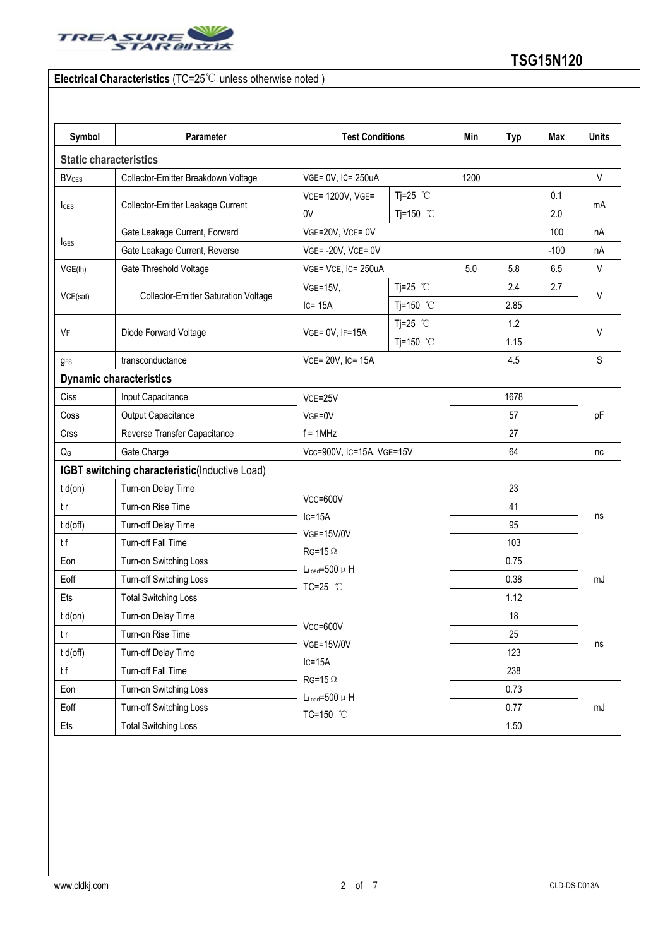

### **Electrical Characteristics** (TC=25℃ unless otherwise noted )

| Symbol                        | Parameter                                     | <b>Test Conditions</b>                                                                                 |            |      | <b>Typ</b> | Max    | <b>Units</b> |
|-------------------------------|-----------------------------------------------|--------------------------------------------------------------------------------------------------------|------------|------|------------|--------|--------------|
| <b>Static characteristics</b> |                                               |                                                                                                        |            |      |            |        |              |
| <b>BV<sub>CES</sub></b>       | Collector-Emitter Breakdown Voltage           | VGE= 0V, IC= 250uA                                                                                     |            | 1200 |            |        | V            |
|                               | Collector-Emitter Leakage Current             | VCE= 1200V, VGE=                                                                                       | Tj=25 $°C$ |      |            | 0.1    | mA           |
| lc <sub>ES</sub>              |                                               | 0V                                                                                                     | Tj=150 °C  |      |            | 2.0    |              |
|                               | Gate Leakage Current, Forward                 | VGE=20V, VCE= 0V                                                                                       |            |      |            | 100    | nA           |
| $I_{\text{GES}}$              | Gate Leakage Current, Reverse                 | $VGE = -20V$ , $VCE = 0V$                                                                              |            |      |            | $-100$ | nA           |
| VGE(th)                       | Gate Threshold Voltage                        | VGE= VCE, IC= 250uA                                                                                    |            | 5.0  | 5.8        | 6.5    | V            |
|                               | <b>Collector-Emitter Saturation Voltage</b>   | <b>VGE=15V,</b>                                                                                        | Tj=25 $°C$ |      | 2.4        | 2.7    | V            |
| VCE(sat)                      |                                               | $IC = 15A$                                                                                             | Tj=150 °C  |      | 2.85       |        |              |
| VF                            | Diode Forward Voltage                         | VGE= 0V, IF=15A                                                                                        | Tj=25 $°C$ |      | 1.2        |        | V            |
|                               |                                               |                                                                                                        | Tj=150 °C  |      | 1.15       |        |              |
| $g_{FS}$                      | transconductance                              | VCE= 20V, IC= 15A                                                                                      |            |      | 4.5        |        | S            |
|                               | <b>Dynamic characteristics</b>                |                                                                                                        |            |      |            |        |              |
| Ciss                          | Input Capacitance                             | VCE=25V<br>VGE=0V                                                                                      |            |      | 1678       |        | pF           |
| Coss                          | Output Capacitance                            |                                                                                                        |            |      | 57         |        |              |
| Crss                          | Reverse Transfer Capacitance                  | $f = 1$ MHz                                                                                            |            |      | 27         |        |              |
|                               | Gate Charge                                   | Vcc=900V, IC=15A, VGE=15V                                                                              |            |      | 64         |        | nc           |
|                               | IGBT switching characteristic(Inductive Load) |                                                                                                        |            |      |            |        |              |
| $t d($ on $)$                 | Turn-on Delay Time                            | VCC=600V<br>$IC=15A$<br><b>VGE=15V/0V</b><br>$RG=15 \Omega$<br>$L_{Load} = 500 \mu H$<br>TC=25 °C      |            |      | 23         |        | ns<br>mJ     |
|                               | Turn-on Rise Time                             |                                                                                                        |            |      | 41         |        |              |
| $t d($ off $)$                | Turn-off Delay Time                           |                                                                                                        |            |      | 95         |        |              |
|                               | Turn-off Fall Time                            |                                                                                                        |            |      | 103        |        |              |
| Eon                           | Turn-on Switching Loss                        |                                                                                                        |            |      | 0.75       |        |              |
| Eoff                          | Turn-off Switching Loss                       |                                                                                                        |            |      | 0.38       |        |              |
| Ets                           | <b>Total Switching Loss</b>                   |                                                                                                        |            |      | 1.12       |        |              |
| $t d($ on $)$                 | Turn-on Delay Time                            | $Vcc = 600V$<br><b>VGE=15V/0V</b><br>$IC=15A$<br>$RG=15 \Omega$<br>$L_{Load} = 500 \mu H$<br>TC=150 °C |            |      | 18         |        | ns           |
|                               | Turn-on Rise Time                             |                                                                                                        |            |      | 25         |        |              |
| t d(off)                      | Turn-off Delay Time                           |                                                                                                        |            |      | 123        |        |              |
|                               | Turn-off Fall Time                            |                                                                                                        |            |      | 238        |        |              |
| Eon                           | Turn-on Switching Loss                        |                                                                                                        |            |      | 0.73       |        | mJ           |
| Eoff                          | Turn-off Switching Loss                       |                                                                                                        |            |      | 0.77       |        |              |
| Ets                           | <b>Total Switching Loss</b>                   |                                                                                                        |            |      | 1.50       |        |              |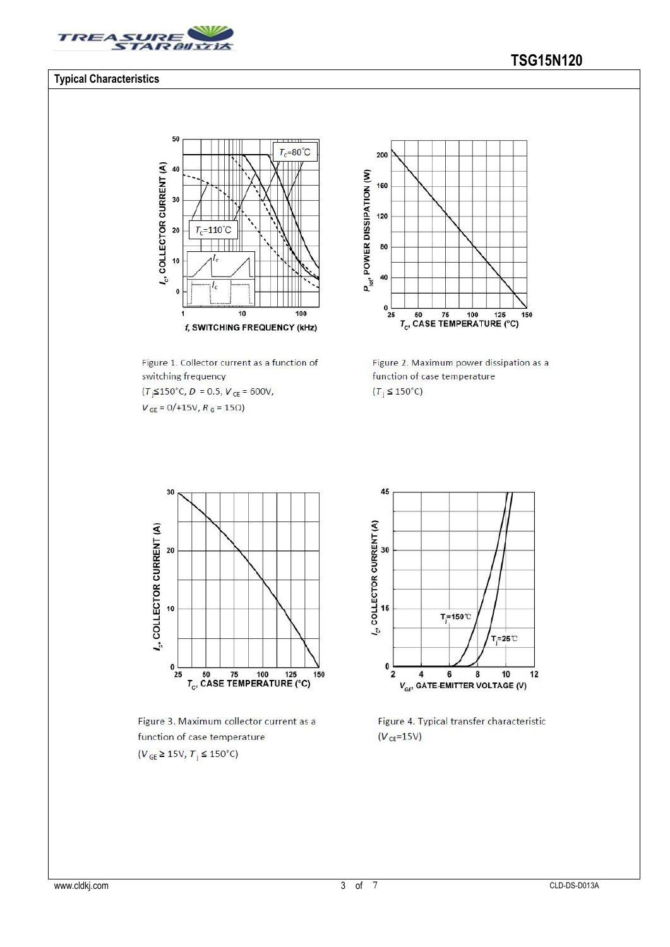

#### **Typical Characteristics**

#### 50  $\overline{\mathbf{u}}$  $T_c = 80^{\circ}C$  $l_c$ , COLLECTOR CURRENT (A) 40 30  $=110^{\circ}C$ 20 T,  $10$  $\mathbf{0}$  $\overline{10}$  $\frac{1}{100}$ 1 f, SWITCHING FREQUENCY (kHz)

Figure 1. Collector current as a function of switching frequency  $(T<sub>j</sub> \le 150^{\circ} \text{C}, D = 0.5, V<sub>CE</sub> = 600 \text{V},$ 

 $V_{GE} = 0/+15V, R_G = 15\Omega$ 



Figure 2. Maximum power dissipation as a function of case temperature  $(T_i \leq 150^{\circ}C)$ 



Figure 3. Maximum collector current as a function of case temperature  $(V_{GE} \ge 15V, T_j \le 150^{\circ}C)$ 



Figure 4. Typical transfer characteristic  $(V_{CE} = 15V)$ 

## **TSG15N120**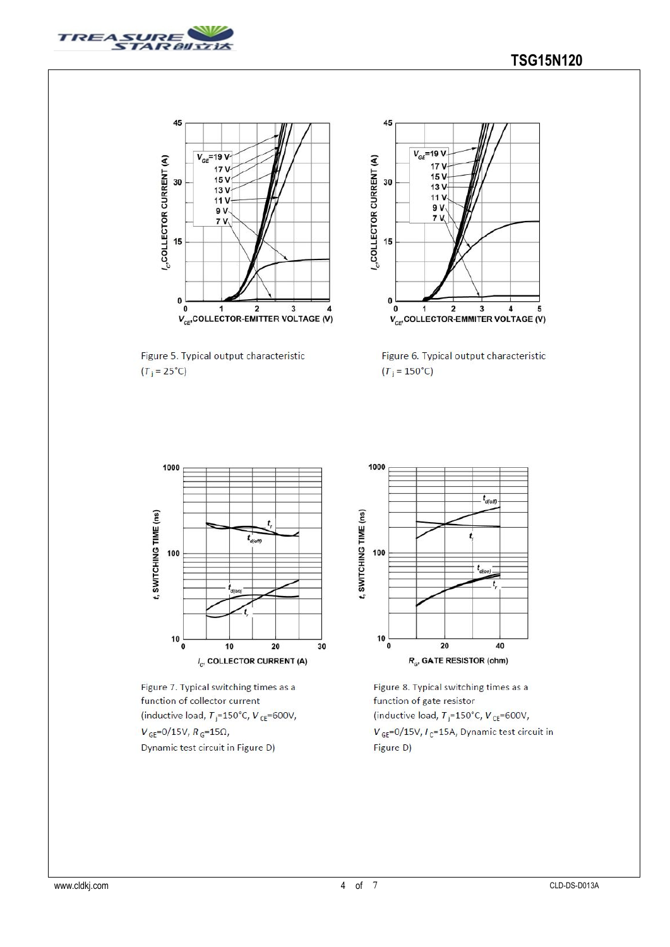



Figure 5. Typical output characteristic  $(T_j = 25^{\circ}C)$ 



Figure 6. Typical output characteristic  $(T_j = 150^{\circ}C)$ 



Figure 7. Typical switching times as a function of collector current (inductive load,  $T_j = 150^{\circ}$ C,  $V_{CE} = 600V$ ,  $V_{\rm GE}$ =0/15V,  $R_{\rm G}$ =15 $\Omega$ , Dynamic test circuit in Figure D)



Figure 8. Typical switching times as a function of gate resistor (inductive load,  $T_j = 150^{\circ}$ C,  $V_{CE} = 600V$ ,  $V_{\text{GE}}$ =0/15V,  $I_{\text{C}}$ =15A, Dynamic test circuit in Figure D)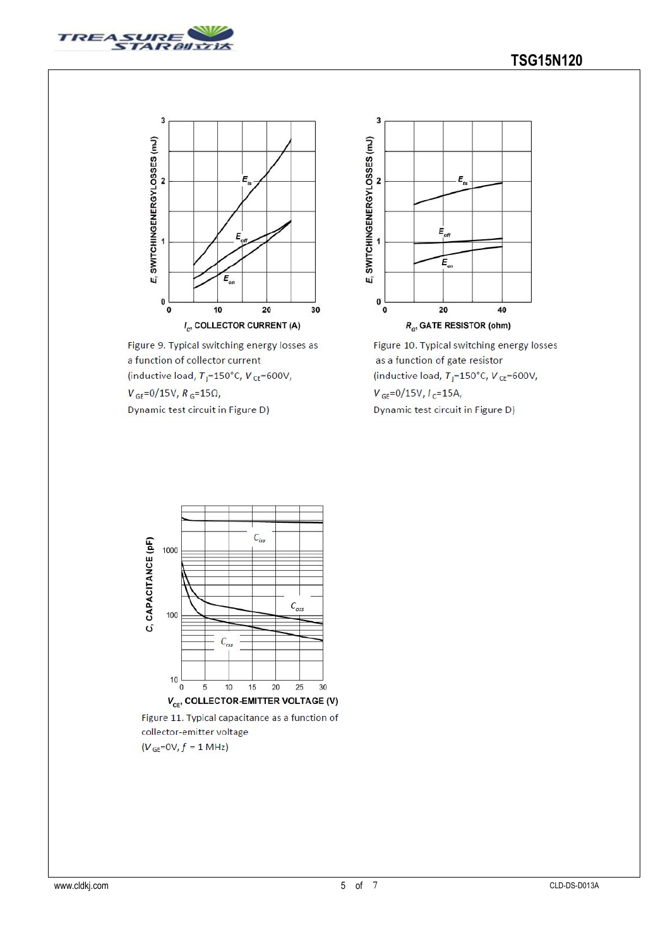



Figure 9. Typical switching energy losses as a function of collector current (inductive load,  $T_j = 150^{\circ}$ C,  $V_{CE} = 600V$ ,  $V_{GE} = 0/15V, R_G = 15\Omega,$ 

Dynamic test circuit in Figure D)



Figure 10. Typical switching energy losses as a function of gate resistor (inductive load,  $T_i = 150^{\circ}$ C,  $V_{CE} = 600V$ ,  $V_{GE} = 0/15V, I_C = 15A,$ Dynamic test circuit in Figure D)



Figure 11. Typical capacitance as a function of collector-emitter voltage  $(V_{GE}=0V, f = 1 MHz)$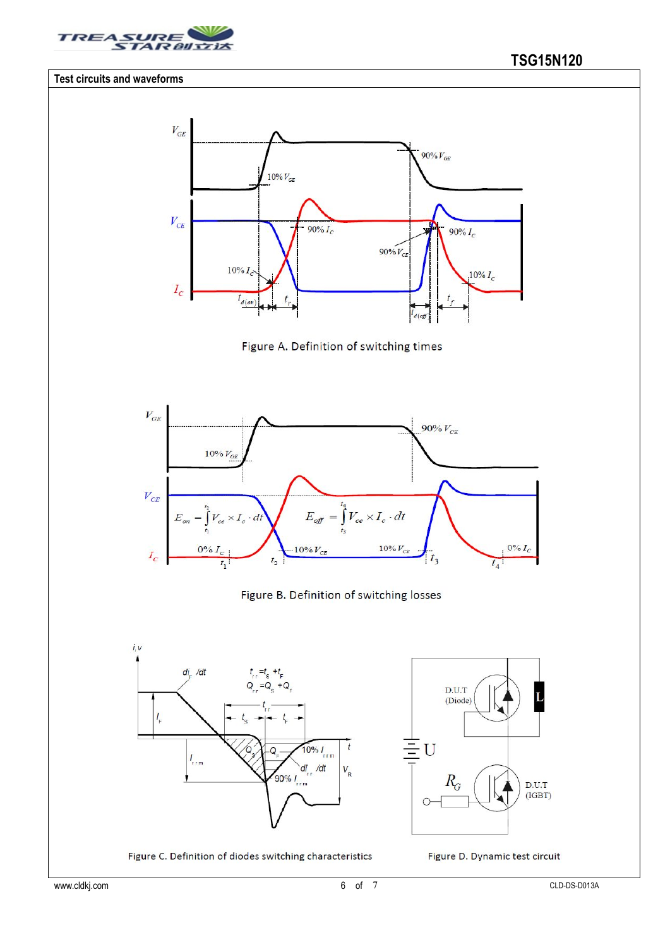

#### **Test circuits and waveforms**







#### Figure B. Definition of switching losses



 $\overline{\equiv}$ U  $R_G$  $D.U.T$  $(IGBT)$ 

 $D.U.T$ 

(Diode)

Figure C. Definition of diodes switching characteristics



 $\overline{L}$